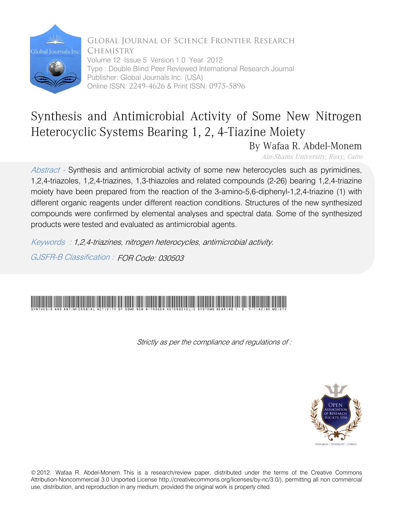

Global Journal of Science Frontier Research **CHEMISTRY** Volume 12 Issue 5 Version 1.0 Year 2012 Type : Double Blind Peer Reviewed International Research Journal Publisher: Global Journals Inc. (USA) Online ISSN: 2249-4626 & Print ISSN: 0975-5896

## Synthesis and Antimicrobial Activity of Some New Nitrogen Heterocyclic Systems Bearing 1, 2, 4-Tiazine Moiety

By Wafaa R. Abdel-Monem

Ain-Shams University, Roxy, Cairo

Abstract - Synthesis and antimicrobial activity of some new heterocycles such as pyrimidines, 1,2,4-triazoles, 1,2,4-triazines, 1,3-thiazoles and related compounds (2-26) bearing 1,2,4-triazine moiety have been prepared from the reaction of the 3-amino-5,6-diphenyl-1,2,4-triazine (1) with different organic reagents under different reaction conditions. Structures of the new synthesized compounds were confirmed by elemental analyses and spectral data. Some of the synthesized products were tested and evaluated as antimicrobial agents.

Keywords : 1,2,4-triazines, nitrogen heterocycles, antimicrobial activity.

GJSFR-B Classification : FOR Code: 030503

## Synthesis and Antimicrobial Activity of Some New Nitrogen Heterocyclic Systems Bearing 1, 2, 4-Tiazine Moiety

Strictly as per the compliance and regulations of :



© 2012. Wafaa R. Abdel-Monem. This is a research/review paper, distributed under the terms of the Creative Commons Attribution-Noncommercial 3.0 Unported License http://creativecommons.org/licenses/by-nc/3.0/), permitting all non commercial use, distribution, and reproduction in any medium, provided the original work is properly cited.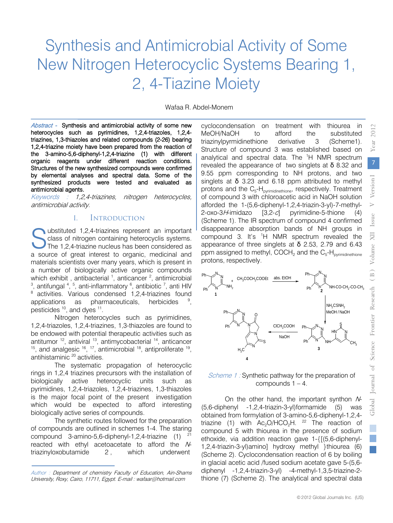# Synthesis and Antimicrobial Activity of Some New Nitrogen Heterocyclic Systems Bearing 1, 2, 4-Tiazine Moiety

Wafaa R. Abdel-Monem

Abstract - Synthesis and antimicrobial activity of some new heterocycles such as pyrimidines, 1,2,4-triazoles, 1,2,4 triazines, 1,3-thiazoles and related compounds (2-26) bearing 1,2,4-triazine moiety have been prepared from the reaction of the 3-amino-5,6-diphenyl-1,2,4-triazine (1) with different organic reagents under different reaction conditions. Structures of the new synthesized compounds were confirmed by elemental analyses and spectral data. Some of the synthesized products were tested and evaluated as antimicrobial agents.

Keywords : 1,2,4-triazines, nitrogen heterocycles, antimicrobial activity.

### I. Introduction

Ubstituted 1,2,4-triazines represent an important<br>
Class of nitrogen containing heterocyclis systems.<br>
The 1,2,4-triazine nucleus has been considered as class of nitrogen containing heterocyclis systems. The 1,2,4-triazine nucleus has been considered as a source of great interest to organic, medicinal and materials scientists over many years, which is present in a number of biologically active organic compounds which exhibit, antibacterial <sup>1</sup>, anticancer <sup>2</sup>, antimicrobial<br><sup>3</sup> antifungal <sup>4</sup> <sup>5</sup> anti-inflammatory <sup>6</sup> antibiotic <sup>7</sup> anti HIV , antifungal  $4, 5$ , anti-inflammatory  $6$ , antibiotic  $7$ , anti HIV <sup>8</sup> activities. Various condensed 1,2,4-triazines found applications as pharmaceuticals, herbicides , pesticides 10, and dyes 11.

Nitrogen heterocycles such as pyrimidines, 1,2,4-triazoles, 1,2,4-triazines, 1,3-thiazoles are found to be endowed with potential therapeutic activities such as antitumor  $12$ , antiviral  $13$ , antimycobacterial  $14$ , anticancer  $15$ , and analgesic  $16$ ,  $17$ , antimicrobial  $18$ , antiproliferate  $19$ , antihistaminic 20 activities.

The systematic propagation of heterocyclic rings in 1,2,4 triazines precursors with the installation of biologically active heterocyclic units such as pyrimidines, 1,2,4-triazoles, 1,2,4-triazines, 1,3-thiazoles is the major focal point of the present investigation which would be expected to afford interesting biologically active series of compounds.

The synthetic routes followed for the preparation of compounds are outlined in schemes 1-4. The staring compound 3-amino-5,6-diphenyl-1,2,4-triazine  $(1)$ <sup>21</sup> reacted with ethyl acetoacetate to afford the Ntriazinyloxobutamide 2 , which underwent

cyclocondensation on treatment with thiourea in MeOH/NaOH to afford the substituted triazinylpyrmidinethione derivative 3 (Scheme1). Structure of compound 3 was established based on analytical and spectral data. The <sup>1</sup>H NMR spectrum revealed the appearance of two singlets at  $\delta$  8.32 and 9.55 ppm corresponding to NH protons, and two singlets at  $\delta$  3.23 and 6.18 ppm attributed to methyl protons and the  $C_5$ -H<sub>pyrimidinethione</sub>, respectively. Treatment of compound 3 with chloroacetic acid in NaOH solution afforded the 1-(5,6-diphenyl-1,2,4-triazin-3-yl)-7-methyl-2-oxo-3H-imidazo [3,2-c] pyrimidine-5-thione (4) (Scheme 1). The IR spectrum of compound 4 confirmed disappearance absorption bands of NH groups in compound 3. It's  ${}^{1}H$  NMR spectrum revealed the appearance of three singlets at  $\delta$  2.53, 2.79 and 6.43 ppm assigned to methyl, COCH<sub>2</sub> and the  $C_5$ -H<sub>pyrimidinethione</sub> protons, respectively.



#### Scheme 1 : Synthetic pathway for the preparation of compounds  $1 - 4$ .

On the other hand, the important synthon N-(5,6-diphenyl -1,2,4-triazin-3-yl)formamide (5) was obtained from formylation of 3-amino-5,6-diphenyl-1,2,4 triazine (1) with  $Ac_2O/HCO_2H$ . <sup>22</sup> The reaction of compound 5 with thiourea in the presence of sodium ethoxide, via addition reaction gave 1-{[(5,6-diphenyl-1,2,4-triazin-3-yl)amino] hydroxy methyl }thiourea (6) (Scheme 2). Cyclocondensation reaction of 6 by boiling in glacial acetic acid /fused sodium acetate gave 5-(5,6 thione (7) (Scheme 2). The analytical and spectral data diphenyl -1,2,4-triazin-3-yl) -4-methyl-1,3,5-triazine-22012

Author : Department of chemistry Faculty of Education, Ain-Shams University, Roxy, Cairo, 11711, Egypt. E-mail : wafaar@hotmail.com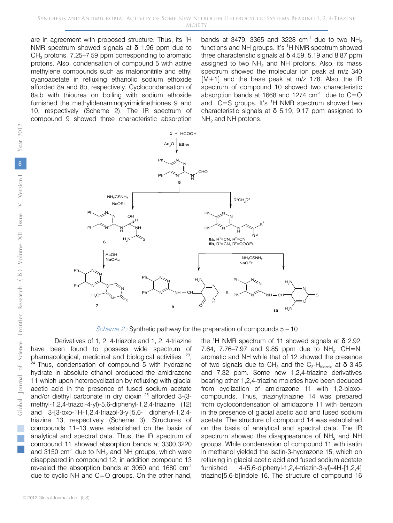are in agreement with proposed structure. Thus, its <sup>1</sup>H NMR spectrum showed signals at δ 1.96 ppm due to  $CH<sub>3</sub>$  protons, 7.25–7.59 ppm corresponding to aromatic protons. Also, condensation of compound 5 with active methylene compounds such as malononitrile and ethyl cyanoacetate in refluxing ethanolic sodium ethoxide afforded 8a and 8b, respectively. Cyclocondensation of 8a,b with thiourea on boiling with sodium ethoxide furnished the methylidenaminopyrimidinethiones 9 and 10, respectively (Scheme 2). The IR spectrum of compound 9 showed three characteristic absorption

bands at 3479, 3365 and 3228 cm<sup>-1</sup> due to two NH<sub>2</sub> functions and NH groups. It's <sup>1</sup>H NMR spectrum showed three characteristic signals at  $\delta$  4.59, 5.19 and 8.87 ppm assigned to two  $NH<sub>2</sub>$  and NH protons. Also, its mass spectrum showed the molecular ion peak at m/z 340 [M+1] and the base peak at m/z 178. Also, the IR spectrum of compound 10 showed two characteristic absorption bands at 1668 and 1274  $cm<sup>-1</sup>$  due to C=O and  $C = S$  groups. It's <sup>1</sup>H NMR spectrum showed two characteristic signals at  $\delta$  5.19, 9.17 ppm assigned to  $NH<sub>2</sub>$  and NH protons.



*Scheme 2 :* Synthetic pathway for the preparation of compounds  $5 - 10$ 

Derivatives of 1, 2, 4-triazole and 1, 2, 4-triazine have been found to possess wide spectrum of pharmacological, medicinal and biological activities. 23,  $24$  Thus, condensation of compound 5 with hydrazine hydrate in absolute ethanol produced the amidrazone 11 which upon heterocyclization by refluxing with glacial acetic acid in the presence of fused sodium acetate and/or diethyl carbonate in dry dioxin 25 afforded 3-(3 methyl-1,2,4-triazol-4-yl)-5,6-diphenyl-1,2,4-triazine (12) and 3-[3-oxo-1H-1,2,4-triazol-3-yl]5,6- diphenyl-1,2,4 triazine 13, respectively (Scheme 3). Structures of compounds 11–13 were established on the basis of analytical and spectral data. Thus, the IR spectrum of compound 11 showed absorption bands at 3300,3220 and 3150  $cm^{-1}$  due to NH<sub>2</sub> and NH groups, which were disappeared in compound 12, in addition compound 13 revealed the absorption bands at 3050 and 1680 cm-1 due to cyclic NH and C=O groups. On the other hand,

the <sup>1</sup>H NMR spectrum of 11 showed signals at  $\delta$  2.92, 7.64, 7.76–7.97 and 9.85 ppm due to  $NH_2$ , CH=N, aromatic and NH while that of 12 showed the presence of two signals due to CH<sub>3</sub> and the C<sub>3</sub>-H<sub>triazole</sub> at **δ** 3.45 and 7.32 ppm. Some new 1,2,4-triazine derivatives bearing other 1,2,4-triazine moieties have been deduced from cyclization of amidrazone 11 with 1,2-bioxocompounds. Thus, triazinyltriazine 14 was prepared from cyclocondensation of amidazone 11 with benzoin in the presence of glacial acetic acid and fused sodium acetate. The structure of compound 14 was established on the basis of analytical and spectral data. The IR spectrum showed the disappearance of  $NH<sub>2</sub>$  and NH groups. While condensation of compound 11 with isatin in methanol yielded the isatin-3-hydrazone 15, which on refluxing in glacial acetic acid and fused sodium acetate furnished 4-(5,6-diphenyl-1,2,4-triazin-3-yl)-4H-[1,2,4] triazino[5,6-b]indole 16. The structure of compound 16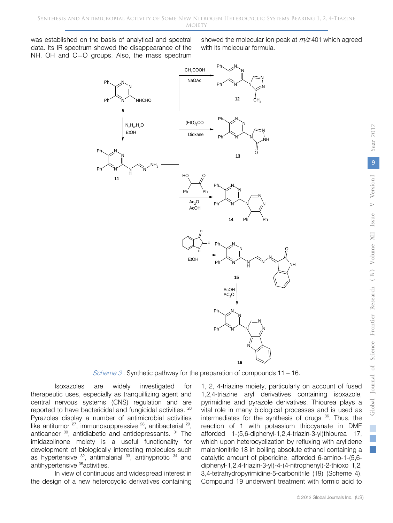was established on the basis of analytical and spectral data. Its IR spectrum showed the disappearance of the NH, OH and C=O groups. Also, the mass spectrum

Ph

showed the molecular ion peak at  $m/z$  401 which agreed with its molecular formula.



*Scheme 3 :* Synthetic pathway for the preparation of compounds  $11 - 16$ .

Isoxazoles are widely investigated for therapeutic uses, especially as tranquillizing agent and central nervous systems (CNS) regulation and are reported to have bactericidal and fungicidal activities. 26 Pyrazoles display a number of antimicrobial activities like antitumor <sup>27</sup>, immunosuppressive <sup>28</sup>, antibacterial <sup>29</sup>, anticancer <sup>30</sup>, antidiabetic and antidepressants. <sup>31</sup> The imidazolinone moiety is a useful functionality for development of biologically interesting molecules such as hypertensive  $32$ , antimalarial  $33$ , antihypnotic  $34$  and antihypertensive 35activities.

In view of continuous and widespread interest in the design of a new heterocyclic derivatives containing

1, 2, 4-triazine moiety, particularly on account of fused 1,2,4-triazine aryl derivatives containing isoxazole, pyrimidine and pyrazole derivatives. Thiourea plays a vital role in many biological processes and is used as intermediates for the synthesis of drugs <sup>36</sup>. Thus, the reaction of 1 with potassium thiocyanate in DMF afforded 1-(5,6-diphenyl-1,2,4-triazin-3-yl)thiourea 17, which upon heterocyclization by refluxing with arylidene malonlonitrile 18 in boiling absolute ethanol containing a catalytic amount of piperidine, afforded 6-amino-1-(5,6 diphenyl-1,2,4-triazin-3-yl)-4-(4-nitrophenyl)-2-thioxo 1,2, 3,4-tetrahydropyrimidine-5-carbonitrile (19) (Scheme 4). Compound 19 underwent treatment with formic acid to

2012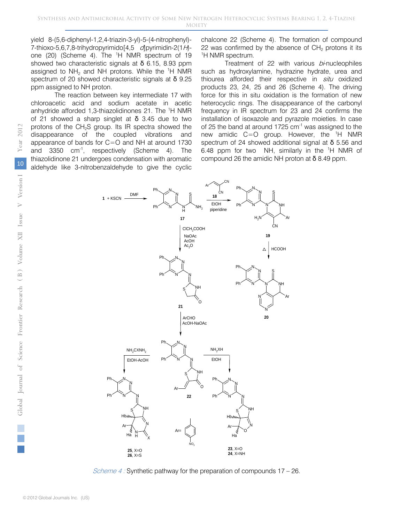yield 8-(5,6-diphenyl-1,2,4-triazin-3-yl)-5-(4-nitrophenyl)- 7-thioxo-5,6,7,8-trihydropyrimido $[4,5 \quad d]$ pyrimidin-2(1H)one (20) (Scheme 4). The <sup>1</sup>H NMR spectrum of 19 showed two characteristic signals at  $\delta$  6.15, 8.93 ppm assigned to  $NH<sub>2</sub>$  and NH protons. While the <sup>1</sup>H NMR spectrum of 20 showed characteristic signals at δ 9.25 ppm assigned to NH proton.

The reaction between key intermediate 17 with chloroacetic acid and sodium acetate in acetic anhydride afforded 1,3-thiazolidinones 21. The <sup>1</sup>H NMR of 21 showed a sharp singlet at  $\delta$  3.45 due to two protons of the  $CH<sub>2</sub>S$  group. Its IR spectra showed the disappearance of the coupled vibrations and appearance of bands for C=O and NH at around 1730 and 3350 cm-1, respectively (Scheme 4). The thiazolidinone 21 undergoes condensation with aromatic aldehyde like 3-nitrobenzaldehyde to give the cyclic

chalcone 22 (Scheme 4). The formation of compound 22 was confirmed by the absence of  $CH<sub>2</sub>$  protons it its <sup>1</sup>H NMR spectrum.

Treatment of 22 with various  $b\dot{r}$  nucleophiles such as hydroxylamine, hydrazine hydrate, urea and thiourea afforded their respective in situ oxidized products 23, 24, 25 and 26 (Scheme 4). The driving force for this in situ oxidation is the formation of new heterocyclic rings. The disappearance of the carbonyl frequency in IR spectrum for 23 and 24 confirms the installation of isoxazole and pyrazole moieties. In case of 25 the band at around 1725 cm<sup>-1</sup> was assigned to the new amidic  $C=O$  group. However, the  ${}^{1}H$  NMR spectrum of 24 showed additional signal at  $\delta$  5.56 and 6.48 ppm for two NH, similarly in the <sup>1</sup>H NMR of compound 26 the amidic NH proton at  $\delta$  8.49 ppm.



Scheme 4 : Synthetic pathway for the preparation of compounds 17 – 26.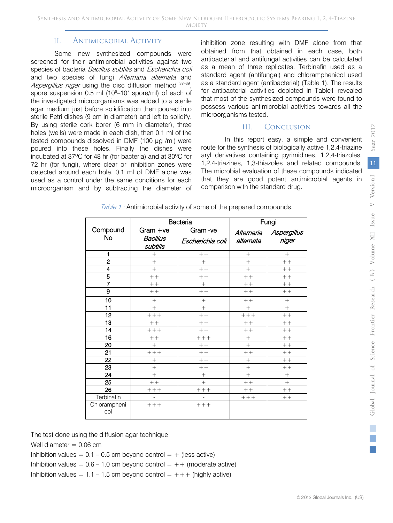## II. Antimicrobial Activity

Some new synthesized compounds were screened for their antimicrobial activities against two species of bacteria Bacillus subtilis and Escherichia coli and two species of fungi Alternaria alternata and Aspergillus niger using the disc diffusion method 37-39. spore suspension 0.5 ml  $(10^6 - 10^7 \text{ spore/ml})$  of each of the investigated microorganisms was added to a sterile agar medium just before solidification then poured into sterile Petri dishes (9 cm in diameter) and left to solidify. By using sterile cork borer (6 mm in diameter), three holes (wells) were made in each dish, then 0.1 ml of the tested compounds dissolved in DMF (100 μg /ml) were poured into these holes. Finally the dishes were incubated at 37ºC for 48 hr (for bacteria) and at 30ºC for 72 hr (for fungi), where clear or inhibition zones were detected around each hole. 0.1 ml of DMF alone was used as a control under the same conditions for each microorganism and by subtracting the diameter of

inhibition zone resulting with DMF alone from that obtained from that obtained in each case, both antibacterial and antifungal activities can be calculated as a mean of three replicates. Terbinafin used as a standard agent (antifungal) and chloramphenicol used as a standard agent (antibacterial) (Table 1). The results for antibacterial activities depicted in Table1 revealed that most of the synthesized compounds were found to possess various antimicrobial activities towards all the microorganisms tested.

### III. Conclusion

In this report easy, a simple and convenient route for the synthesis of biologically active 1,2,4-triazine aryl derivatives containing pyrimidines, 1,2,4-triazoles, 1,2,4-triazines, 1,3-thiazoles and related compounds. The microbial evaluation of these compounds indicated that they are good potent antimicrobial agents in comparison with the standard drug.

|                         | <b>Bacteria</b>      |                  | Fungi                   |                          |
|-------------------------|----------------------|------------------|-------------------------|--------------------------|
| Compound<br>No          | $Gram +ve$           | Gram-ve          | Alternaria<br>alternata | Aspergillus<br>niger     |
|                         | Bacillus<br>subtilis | Escherichia coli |                         |                          |
| 1                       | $^{+}$               | $++$             | $^{+}$                  | $^{+}$                   |
| $\overline{\mathbf{c}}$ | $^{+}$               | $+$              | $^{+}$                  | $++$                     |
| 4                       | $+$                  | $++$             | $\ddot{}$               | $++$                     |
| $\overline{5}$          | $+ +$                | $++$             | $++$                    | $++$                     |
| $\overline{7}$          | $++$                 | $\ddot{}$        | $++$                    | $++$                     |
| 9                       | $++$                 | $++$             | $++$                    | $++$                     |
| 10                      | $^{+}$               | $^{+}$           | $+ +$                   | $^{+}$                   |
| 11                      | $+$                  | $^{+}$           | $^{+}$                  | $+$                      |
| 12                      | $+ + +$              | $++$             | $++++$                  | $++$                     |
| 13                      | $++$                 | $++$             | $++$                    | $++$                     |
| 14                      | $+ + +$              | $++$             | $++$                    | $++$                     |
| 16                      | $\; + \; +$          | $++++$           | $^{+}$                  | $+ +$                    |
| 20                      | $+$                  | $++$             | $^{+}$                  | $++$                     |
| 21                      | $++++$               | $++$             | $+ +$                   | $++$                     |
| $\overline{22}$         | $^{+}$               | $++$             | $^{+}$                  | $++$                     |
| 23                      | $\ddot{}$            | $+ +$            | $^{+}$                  | $++$                     |
| 24                      | $+$                  | $^{+}$           | $^{+}$                  | $^{+}$                   |
| 25                      | $++$                 | $^{+}$           | $++$                    | $+$                      |
| 26                      | $++++$               | $+ + +$          | $++$                    | $++$                     |
| Terbinafin              |                      |                  | $+++$                   | $++$                     |
| Chlorampheni<br>col     | $++++$               | $++++$           |                         | $\overline{\phantom{0}}$ |

Table 1: Antimicrobial activity of some of the prepared compounds.

The test done using the diffusion agar technique

Well diameter  $= 0.06$  cm

Inhibition values =  $0.1 - 0.5$  cm beyond control =  $+$  (less active)

Inhibition values =  $0.6 - 1.0$  cm beyond control =  $++$  (moderate active)

Inhibition values =  $1.1 - 1.5$  cm beyond control =  $++$  (highly active)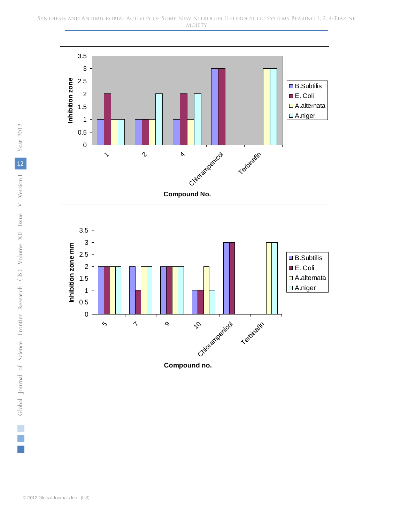



Year 2012 V Version 1 Near 2012 12*Global Journal* of Science Frontier Research (B) Volume XII Issue V Version<sup>1</sup>  $\geqslant$ *( )* B

П  $\mathcal{L}_{\mathcal{A}}$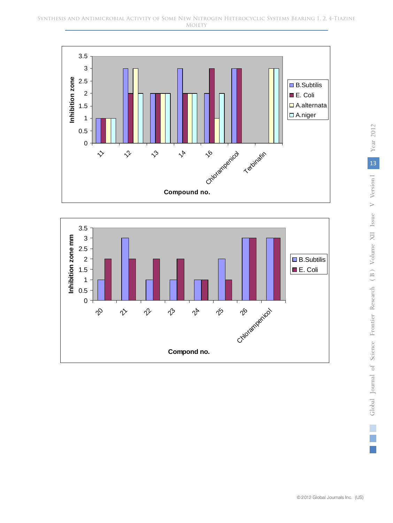

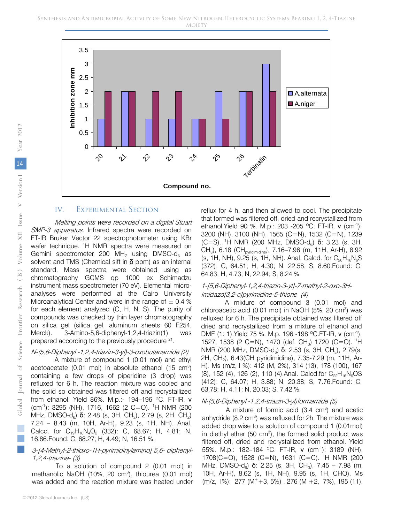

#### IV. Experimental Section

Melting points were recorded on a digital Stuart SMP-3 apparatus. Infrared spectra were recorded on FT-IR Bruker Vector 22 spectrophotometer using KBr wafer technique. <sup>1</sup>H NMR spectra were measured on Gemini spectrometer 200 MH<sub>z</sub> using DMSO- $d_6$  as solvent and TMS (Chemical sift in  $\delta$  ppm) as an internal standard. Mass spectra were obtained using as chromatography GCMS qp 1000 ex Schimadzu instrument mass spectrometer (70 eV). Elemental microanalyses were performed at the Cairo University Microanalytical Center and were in the range of  $\pm$  0.4 % for each element analyzed (C, H, N, S). The purity of compounds was checked by thin layer chromatography on silica gel (silica gel, aluminum sheets 60 F254, Merck). 3-Amino-5,6-diphenyl-1,2,4-triazin(1) was prepared according to the previously procedure <sup>21</sup>.

#### N-(5,6-Diphenyl -1,2,4-triazin-3-yl)-3-oxobutanamide (2)

A mixture of compound 1 (0.01 mol) and ethyl acetoacetate  $(0.01 \text{ mol})$  in absolute ethanol  $(15 \text{ cm}^3)$ containing a few drops of piperidine (3 drop) was refluxed for 6 h. The reaction mixture was cooled and the solid so obtained was filtered off and recrystallized from ethanol. Yield 86%. M.p.:- 194–196 ºC. FT-IR, ν (cm-1 ): 3295 (NH), 1716, 1662 (2 C=O). 1 H NMR (200 MHz, DMSO-d<sub>6</sub>) δ: 2.48 (s, 3H, CH<sub>3</sub>), 2.79 (s, 2H, CH<sub>2</sub>) 7.24 – 8.43 (m, 10H, Ar-H), 9.23 (s, 1H, NH). Anal. Calcd. for  $C_{19}H_{16}N_4O_2$  (332): C, 68.67; H, 4.81; N, 16.86.Found: C, 68.27; H, 4.49; N, 16.51 %.

#### 3-[4-Methyl-2-thioxo-1H-pyrimidinylamino] 5,6- diphenyl-1,2,4-triazine- (3)

To a solution of compound 2 (0.01 mol) in methanolic NaOH  $(10\%, 20 \text{ cm}^3)$ , thiourea  $(0.01 \text{ mol})$ was added and the reaction mixture was heated under

reflux for 4 h, and then allowed to cool. The precipitate that formed was filtered off, dried and recrystallized from ethanol. Yield 90 %. M.p.: 203 - 205 °C. FT-IR, v (cm<sup>-1</sup>): 3200 (NH), 3100 (NH), 1565 (C=N), 1532 (C=N), 1239  $(C=S)$ . <sup>1</sup>H NMR (200 MHz, DMSO-d<sub>6</sub>) **δ**: 3.23 (s, 3H,  $CH_3$ , 6.18 (CH<sub>pyridimidine</sub>), 7.16–7.96 (m, 11H, Ar-H), 8.92 (s, 1H, NH), 9.25 (s, 1H, NH). Anal. Calcd. for  $C_{20}H_{16}N_6S$ (372): C, 64.51; H, 4.30; N, 22.58; S, 8.60.Found: C, 64.83; H, 4.73; N, 22.94; S, 8.24 %.

#### 1-[5,6-Diphenyl-1,2,4-triazin-3-yl]-7-methyl-2-oxo-3Himidazo[3,2-c]pyrimidine-5-thione (4)

A mixture of compound 3 (0.01 mol) and chloroacetic acid (0.01 mol) in NaOH (5%, 20 cm<sup>3</sup>) was refluxed for 6 h. The precipitate obtained was filtered off dried and recrystallized from a mixture of ethanol and DMF (1: 1). Yield 75 %. M.p. 196 -198 °C. FT-IR, ν (cm<sup>-1</sup>): 1527, 1538 (2 C=N), 1470 (def. CH<sub>3</sub>) 1720 (C=O). <sup>1</sup>H NMR (200 MHz, DMSO-d<sub>6</sub>) **δ**: 2.53 (s, 3H, CH<sub>3</sub>), 2.79(s, 2H, CH2), 6.43(CH pyridimidine), 7.35-7.29 (m, 11H, Ar-H). Ms (m/z, I %): 412 (M, 2%), 314 (13), 178 (100), 167 (8), 152 (4), 126 (2), 110 (4). Anal. Calcd.for  $C_{22}H_{16}N_6OS$ (412): C, 64.07; H, 3.88; N, 20.38; S, 7.76.Found: C, 63.78; H, 4.11; N, 20.03; S, 7.42 %.

#### N-(5,6-Diphenyl -1,2,4-triazin-3-yl)formamide (5)

A mixture of formic acid  $(3.4 \text{ cm}^3)$  and acetic anhydride  $(8.2 \text{ cm}^3)$  was refluxed for 2h. The mixture was added drop wise to a solution of compound 1 (0.01mol) in diethyl ether  $(50 \text{ cm}^3)$ , the formed solid product was filtered off, dried and recrystallized from ethanol. Yield 55%. M.p.: 182–184 ºC. FT-IR, ν (cm-1): 3189 (NH), 1708(C=O), 1528 (C=N), 1631 (C=C). 1 H NMR (200 MHz, DMSO-d<sub>6</sub>) **δ**: 2.25 (s, 3H, CH<sub>3</sub>), 7.45 – 7.98 (m, 10H, Ar-H), 8.62 (s, 1H, NH), 9.95 (s, 1H, CHO). Ms  $(m/z, 1\%)$ : 277  $(M^+ + 3, 5\%)$ , 276  $(M + 2, 7\%)$ , 195  $(11)$ ,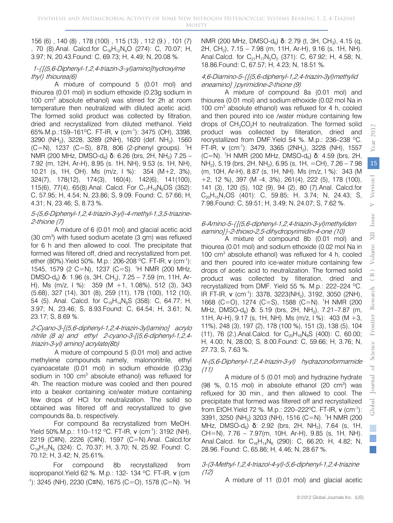156 (6) , 140 (8) , 178 (100) , 115 (13) , 112 (9.) , 101 (7) , 70 (8). Anal. Calcd.for  $C_{16}H_{12}N_4O$  (274): C, 70.07; H, 3.97; N, 20.43.Found: C, 69.73; H, 4.49; N, 20.08 %.

#### 1-{[(5,6-Diphenyl-1,2,4-triazin-3–yl)amino]hydroxylme thyl} thiourea(6)

A mixture of compound 5 (0.01 mol) and thiourea (0.01 mol) in sodium ethoxide (0.23g sodium in 100 cm3 absolute ethanol) was stirred for 2h at room temperature then neutralized with diluted acetic acid. The formed solid product was collected by filtration, dried and recrystallized from diluted methanol. Yield 65%.M.p.:159–161ºC. FT-IR, ν (cm-1): 3475 (OH), 3398, 3290 (NH<sub>2</sub>), 3228, 3289 (2NH), 1620 (def. NH<sub>2</sub>). 1560  $(C=N)$ , 1237  $(C=S)$ , 878, 806 (2-phenyl groups). <sup>1</sup>H NMR (200 MHz, DMSO-d<sub>6</sub>) **δ**: 6.26 (brs, 2H, NH<sub>2</sub>) 7.25 – 7.92 (m, 12H, Ar-H), 8.95 (s. 1H, NH), 9.53 (s, 1H, NH), 10.21 (s, 1H, OH). Ms (m/z, I %): 354 (M+2, 3%), 324(7), 178(12), 174(3), 160(4), 142(6), 141(100), 115(6), 77(4), 65(8). Anal. Calcd. For  $C_{17}H_{16}N_6OS$  (352): C, 57.95; H, 4.54; N, 23.86; S, 9.09. Found: C, 57.66; H, 4.31; N, 23.46; S, 8.73 %.

#### 5-(5,6-Diphenyl-1,2,4-triazin-3-yl)-4-methyl-1,3,5-triazine-2-thione (7)

A mixture of 6 (0.01 mol) and glacial acetic acid (30 cm<sup>3</sup>) with fused sodium acetate (3 gm) was refluxed for 6 h and then allowed to cool. The precipitate that formed was filtered off, dried and recrystallized from pet. ether (80%). Yield 50%. M.p.: 206-208 °C. FT-IR, v (cm<sup>-1</sup>): 1545, 1579 (2 C=N), 1237 (C=S). 1 H NMR (200 MHz, DMSO-d<sub>6</sub>) **δ**: 1.96 (s, 3H, CH<sub>3</sub>), 7.25 – 7.59 (m, 11H, Ar-H), Ms (m/z, I %): 359 (M +1, 1.08%), 512 (3), 343 (5.68), 327 (14), 301 (8), 259 (11), 178 (100), 112 (10), 54 (5). Anal. Calcd. for  $C_{19}H_{14}N_6S$  (358): C, 64.77; H, 3.97; N, 23.46; S, 8.93.Found: C, 64.54; H, 3.61; N, 23.17; S, 8.69 %.

#### 2-Cyano-3-[(5,6-diphenyl-1,2,4-triazin-3yl)amino] acrylo nitrile (8 a) and ethyl 2-cyano-3-[(5,6-diphenyl-1,2,4 triazin-3-yl) amino] acrylate(8b)

A mixture of compound 5 (0.01 mol) and active methylene compounds namely, malononitrile, ethyl cyanoacetate (0.01 mol) in sodium ethoxide (0.23g sodium in 100  $\text{cm}^3$  absolute ethanol) was refluxed for 4h. The reaction mixture was cooled and then poured into a beaker containing ice/water mixture containing few drops of HCl for neutralization. The solid so obtained was filtered off and recrystallized to give compounds 8a, b, respectively.

For compound 8a recrystallized from MeOH. Yield 50%. M.p.: 110-112 °C. FT-IR, v (cm<sup>-1</sup>): 3192 (NH), 2219 (C≡N), 2226 (C≡N), 1597 (C=N).Anal. Calcd.for  $C_{19}H_{12}N_6$  (324): C, 70.37; H, 3.70; N, 25.92. Found: C, 70.12; H, 3.42; N, 25.61%.

For compound 8b recrystallized from isopropanol.Yield 62 %. M.p.: 132- 134 ºC. FT-IR, ν (cm -1 ): 3245 (NH), 2230 (C≡N), 1675 (C=O), 1578 (C=N). <sup>1</sup> H NMR (200 MHz, DMSO-d<sub>6</sub>) δ: 2.79 (t, 3H, CH<sub>3</sub>), 4.15 (q, 2H, CH2), 7.15 – 7.98 (m, 11H, Ar-H), 9.16 (s, 1H, NH). Anal.Calcd. for  $C_{21}H_{17}N_5O_2$  (371): C, 67.92; H, 4.58; N, 18.86.Found: C, 67.57; H, 4.23; N, 18.51 %.

#### 4,6-Diamino-5-{[(5,6-diphenyl-1,2,4-triazin-3yl)methylid eneamino] }pyrimidine-2-thione (9)

A mixture of compound 8a (0.01 mol) and thiourea (0.01 mol) and sodium ethoxide (0.02 mol Na in 100 cm3 absolute ethanol) was refluxed for 4 h, cooled and then poured into ice /water mixture containing few drops of CH3CO2H to neutralization. The formed solid product was collected by filteration, dried and recrystallized from DMF.Yield 54 %. M.p.: 236–238 ºC. FT-IR, v  $\rm (cm^{-1})$ : 3479, 3365 (2NH<sub>2</sub>), 3228 (NH), 1557  $(C=N)$ . <sup>1</sup>H NMR (200 MHz, DMSO-d<sub>6</sub>) **δ**: 4.59 (brs, 2H,  $NH<sub>2</sub>$ ), 5.19 (brs, 2H, NH<sub>2</sub>), 6.95 (s, 1H, =CH), 7.26 – 7.98 (m, 10H, Ar-H), 8.87 (s, 1H, NH). Ms (m/z, I %): 343 (M +2, 12 %), 397 (M -4, 3%), 261(4), 222 (5), 178 (100), 141 (3), 120 (5), 102 (9), 94 (2), 80 (7).Anal. Calcd.for  $C_{20}H_{15}N_7OS$  (401): C, 59.85; H, 3.74; N, 24.43; S, 7.98.Found: C, 59.51; H, 3.49; N, 24.07; S, 7.62 %.

#### 6-Amino-5-{[(5,6-diphenyl-1,2,4-triazin-3-yl)methyliden eamino]}-2-thioxo-2,5-dihydropyrimidin-4-one (10)

A mixture of compound 8b (0.01 mol) and thiourea (0.01 mol) and sodium ethoxide (0.02 mol Na in 100  $\text{cm}^3$  absolute ethanol) was refluxed for 4 h, cooled and then poured into ice-water mixture containing few drops of acetic acid to neutralization. The formed solid product was collected by filteration, dried and recrystallized from DMF. Yield 55 %. M.p.: 222–224 ºC. IR FT-IR, v (cm<sup>-1</sup>): 3378, 3223(NH<sub>2</sub>), 3192, 3050 (2NH), 1668 (C=O), 1274 (C=S), 1588 (C=N). <sup>1</sup> H NMR (200 MHz, DMSO-d<sub>6</sub>) **δ**: 5.19 (brs, 2H, NH<sub>2</sub>), 7.21–7.87 (m, 11H, Ar-H), 9.17 (s, 1H, NH). Ms (m/z, I %): 403 (M +3, 11%), 248 (3), 197 (2), 178 (100 %), 151 (3), 138 (5), 104 (11), 76 (2.).Anal.Calcd. for  $C_{20}H_{16}N_8S$  (400): C, 60.00; H, 4.00; N, 28.00; S, 8.00.Found: C, 59.66; H, 3.76; N, 27.73; S, 7.63 %.

#### N-(5,6-Diphenyl-1,2,4-triazin-3-yl) hydrazonoformamide (11)

A mixture of 5 (0.01 mol) and hydrazine hydrate  $(98 \text{ %}, 0.15 \text{ mol})$  in absolute ethanol  $(20 \text{ cm}^3)$  was refluxed for 30 min., and then allowed to cool. The precipitate that formed was filtered off and recrystallized from EtOH.Yield 72 %. M.p.: 220–222ºC. FT-IR, ν (cm-1): 3391, 3250 (NH<sub>2</sub>) 3203 (NH), 1516 (C=N). <sup>1</sup>H NMR (200 MHz, DMSO-d<sub>6</sub>) δ: 2.92 (brs, 2H, NH<sub>2</sub>), 7.64 (s, 1H, CH=N), 7.76 – 7.97(m, 10H, Ar-H), 9.85 (s, 1H, NH). Anal.Calcd. for  $C_{16}H_{14}N_6$  (290): C, 66.20; H, 4.82; N, 28.96. Found: C, 65.86; H, 4.46; N, 28.67 %.

#### 3-(3-Methyl-1,2,4-triazol-4-yl)-5,6-diphenyl-1,2,4-triazine (12)

A mixture of 11 (0.01 mol) and glacial acetic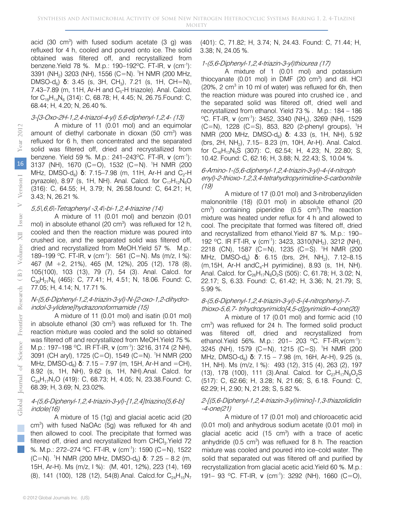acid  $(30 \text{ cm}^3)$  with fused sodium acetate  $(3 \text{ g})$  was refluxed for 4 h, cooled and poured onto ice. The solid obtained was filtered off, and recrystallized from benzene.Yield 78 %. M.p.: 190–192ºC. FT-IR, ν (cm-1): 3391 (NH<sub>2</sub>) 3203 (NH), 1556 (C=N). <sup>1</sup>H NMR (200 MHz, DMSO-d<sub>6</sub>) **δ**: 3.45 (s, 3H, CH<sub>3</sub>), 7.21 (s, 1H, CH=N), 7.43–7.89 (m, 11H, Ar-H and  $C_5$ -H triazole). Anal. Calcd. for  $C_{18}H_{14}N_6$  (314): C, 68.78; H, 4.45; N, 26.75. Found: C, 68.44; H, 4.20; N, 26.40 %.

#### 3-[3-Oxo-2H-1,2,4-triazol-4-yl) 5,6-diphenyl-1,2,4- (13)

A mixture of 11 (0.01 mol) and an equimolar amount of diethyl carbonate in dioxan (50 cm<sup>3</sup>) was refluxed for 6 h, then concentrated and the separated solid was filtered off, dried and recrystallized from benzene. Yield 59 %. M.p.: 241–243 °C. FT-IR, v (cm<sup>-1</sup>): 3137 (NH), 1670 (C=O), 1532 (C=N). 1 H NMR (200 MHz, DMSO-d<sub>6</sub>) **δ**: 7.15–7.98 (m, 11H, Ar-H and C<sub>2</sub>-H pyrazole), 8.97 (s, 1H, NH). Anal. Calcd. for  $C_{17}H_{12}N_6O$ (316): C, 64.55; H, 3.79; N, 26.58.found: C, 64.21; H, 3.43; N, 26.21 %.

#### 5,5\,6,6\-Tetraphenyl -3,4\-bi-1,2,4-triazine (14)

A mixture of 11 (0.01 mol) and benzoin (0.01 mol) in absolute ethanol (20 cm<sup>3</sup>) was refluxed for 12 h, cooled and then the reaction mixture was poured into crushed ice, and the separated solid was filtered off, dried and recrystallized from MeOH.Yield 57 %. M.p.: 189–199 °C. FT-IR, v (cm<sup>-1</sup>): 561 (C=N). Ms (m/z, I %): 467 (M +2, 21%), 465 (M, 12%), 205 (12), 178 (8), 105(100), 103 (13), 79 (7), 54 (3). Anal. Calcd. for  $C_{30}H_{21}N_6$  (465): C, 77.41; H, 4.51; N, 18.06. Found: C, 77.05; H, 4.14; N, 17.71 %.

#### N-(5,6-Diphenyl-1,2,4-triazin-3-yl)-N-[2-oxo-1,2-dihydroindol-3-ylidene]hydrazonoformamide (15)

A mixture of 11 (0.01 mol) and isatin (0.01 mol) in absolute ethanol  $(30 \text{ cm}^3)$  was refluxed for 1h. The reaction mixture was cooled and the solid so obtained was filtered off and recrystallized from MeOH.Yield 75 %. M.p.: 197–198 ºC. IR FT-IR, ν (cm-1): 3216, 3174 (2 NH), 3091 (CH aryl), 1725 (C=O), 1549 (C=N). 1 H NMR (200 MHz, DMSO-d<sub>β</sub>) **δ**: 7.15 – 7.97 (m, 15H, Ar-H and =CH), 8.92 (s, 1H, NH), 9.62 (s, 1H, NH).Anal. Calcd. for  $C_{24}H_{17}N_{7}O$  (419): C, 68.73; H, 4.05; N, 23.38. Found: C, 68.39; H, 3.69; N, 23.02%.

#### 4-(5,6-Diphenyl-1,2,4-triazin-3-yl)-[1,2,4]triazino[5,6-b] indole(16)

A mixture of 15 (1g) and glacial acetic acid (20 cm<sup>3</sup>) with fused NaOAc (5g) was refluxed for 4h and then allowed to cool. The precipitate that formed was filtered off, dried and recrystallized from  $CHCl<sub>3</sub>$ . Yield 72 %. M.p.: 272–274 ºC. FT-IR, ν (cm-1): 1590 (C=N), 1522  $(C=N)$ . <sup>1</sup>H NMR (200 MHz, DMSO-d<sub>6</sub>) **δ**: 7.25 – 8.2 (m, 15H, Ar-H). Ms (m/z, I %): (M, 401, 12%), 223 (14), 169 (8), 141 (100), 128 (12), 54(8). Anal. Calcd.for  $C_{24}H_{15}N_7$ 

#### 1-(5,6-Diphenyl-1,2,4-triazin-3-yl)thiourea (17)

A mixture of 1 (0.01 mol) and potassium thiocyanate  $(0.01 \text{ mol})$  in DMF  $(20 \text{ cm}^3)$  and dil. HCl (20%, 2  $cm<sup>3</sup>$  in 10 ml of water) was refluxed for 6h, then the reaction mixture was poured into crushed ice , and the separated solid was filtered off, dried well and recrystallized from ethanol. Yield 73 % . M.p.: 184 – 186  $\rm{^{\circ}C.}$  FT-IR, v (cm<sup>-1</sup>): 3452, 3340 (NH<sub>2</sub>), 3269 (NH), 1529  $(C=N)$ , 1228  $(C=S)$ , 853, 820 (2-phenyl groups), <sup>1</sup>H NMR (200 MHz, DMSO-d<sub>6</sub>) **δ**: 4.33 (s, 1H, NH), 5.92 (brs, 2H, NH2), 7.15– 8.23 (m, 10H, Ar-H). Anal. Calcd. for  $C_{16}H_{13}N_5S$  (307): C, 62.54; H, 4.23; N, 22.80; S, 10.42. Found: C, 62.16; H, 3.88; N, 22.43; S, 10.04 %.

#### 6-Amino-1-(5,6-diphenyl-1,2,4-triazin-3-yl)-4-(4-nitroph enyl)-2-thioxo-1,2,3,4-tetrahydropyrimidine-5-carbonitrile (19)

A mixture of 17 (0.01 mol) and 3-nitrobenzyliden malononitrile (18) (0.01 mol) in absolute ethanol (20  $cm<sup>3</sup>$ ) containing piperidine (0.5  $cm<sup>3</sup>$ ). The reaction mixture was heated under reflux for 4 h and allowed to cool. The precipitate that formed was filtered off, dried and recrystallized from ethanol.Yield 87 %. M.p.: 190– 192 °C. IR FT-IR, ν (cm<sup>-1</sup>): 3423, 3310(NH<sub>2</sub>), 3212 (NH), 2218 (CN), 1587 (C=N), 1235 (C=S). 1 H NMR (200 MHz, DMSO-d<sub>6</sub>) δ: 6.15 (brs, 2H, NH<sub>2</sub>), 7.12–8.15  $(m, 15H, Ar-H and C<sub>4</sub>-H pyrimidine), 8.93$  (s, 1H, NH). Anal. Calcd. for  $C_{26}H_{17}N_8O_2S$  (505): C, 61.78; H, 3.02; N, 22.17; S, 6.33. Found: C, 61.42; H, 3.36; N, 21.79; S, 5.99 %.

#### 8-(5,6-Diphenyl-1,2,4-triazin-3-yl)-5-(4-nitropheny)-7 thioxo-5,6,7- trihydropyrimido[4,5-d]pyrimidin-4-one(20)

A mixture of 17 (0.01 mol) and formic acid (10 cm<sup>3</sup>) was refluxed for 24 h. The formed solid product was filtered off, dried and recrystallized from ethanol. Yield 56%. M.p.: 201- 203 °C. FT-IR, v(cm<sup>-1</sup>): 3245 (NH), 1579 (C=N), 1215 (C=S). 1 H NMR (200 MHz, DMSO-d<sub>ε</sub>) δ: 7.15 – 7.98 (m, 16H, Ar-H), 9.25 (s, 1H, NH). Ms (m/z, I %): 493 (12), 315 (4), 263 (2), 197 (13), 178 (100), 111 (3). Anal. Calcd. for  $C_{27}H_{17}N_{8}O_{2}S$ (517): C, 62.66; H, 3.28; N, 21.66; S, 6.18. Found: C, 62.29; H, 2.90; N, 21.28; S, 5.82 %.

#### 2-[(5,6-Diphenyl-1,2,4-triazin-3-yl)imino]-1,3-thiazolididin -4-one(21)

A mixture of 17 (0.01 mol) and chloroacetic acid (0.01 mol) and anhydrous sodium acetate (0.01 mol) in glacial acetic acid  $(15 \text{ cm}^3)$  with a trace of acetic anhydride  $(0.5 \text{ cm}^3)$  was refluxed for 8 h. The reaction mixture was cooled and poured into ice–cold water. The solid that separated out was filtered off and purified by recrystallization from glacial acetic acid.Yield 60 %. M.p.: 191– 93 °C. FT-IR, ν (cm<sup>-1</sup>): 3292 (NH), 1660 (C=O),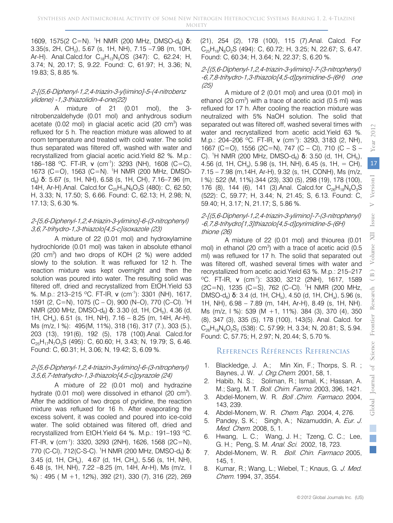1609, 1575(2 C=N). <sup>1</sup>H NMR (200 MHz, DMSO-d<sub>6</sub>) **δ**: 3.35(s, 2H, CH2), 5.67 (s, 1H, NH), 7.15 –7.98 (m, 10H, Ar-H). Anal.Calcd.for  $C_{18}H_{13}N_5OS$  (347): C, 62.24; H, 3.74; N, 20.17; S, 9.22. Found: C, 61.97; H, 3.36; N, 19.83; S, 8.85 %.

#### 2-[(5,6-Diphenyl-1,2,4-triazin-3-yl)imino]-5-(4-nitrobenz ylidene) -1,3-thiazolidin-4-one(22)

A mixture of 21 (0.01 mol), the 3 nitrobenzaldehyde (0.01 mol) and anhydrous sodium acetate (0.02 mol) in glacial acetic acid (20 cm<sup>3</sup>) was refluxed for 5 h. The reaction mixture was allowed to at room temperature and treated with cold water. The solid thus separated was filtered off, washed with water and recrystallized from glacial acetic acid.Yield 82 %. M.p.: 186–188 °C. FT-IR, v (cm<sup>-1</sup>): 3293 (NH), 1608 (C=C), 1673 (C=O), 1563 (C=N). 1 H NMR (200 MHz, DMSO $d_6$ ) **δ**: 5.67 (s, 1H, NH), 6.58 (s, 1H, CH), 7.16–7.96 (m, 14H, Ar-H).Anal. Calcd.for  $C_{25}H_{16}N_6O_3S$  (480): C, 62.50; H, 3.33; N, 17.50; S, 6.66. Found: C, 62.13; H, 2.98; N, 17.13; S, 6.30 %.

#### 2-[5,6-Diphenyl-1,2,4-triazin-3-ylimino]-6-(3-nitrophenyl) 3,6,7-trihydro-1,3-thiazolo[4,5-c]isoxazole (23)

A mixture of 22 (0.01 mol) and hydroxylamine hydrochloride (0.01 mol) was taken in absolute ethanol (20 cm3 ) and two drops of KOH (2 %) were added slowly to the solution. It was refluxed for 12 h. The reaction mixture was kept overnight and then the solution was poured into water. The resulting solid was filtered off, dried and recrystallized from EtOH.Yield 53 %. M.p.: 213–215 ºC. FT-IR, ν (cm-1): 3301 (NH), 1617, 1591 (2, C=N), 1075 (C – O), 900 (N–O), 770 (C–Cl). 1 H NMR (200 MHz, DMSO-d<sub>6</sub>) **δ**: 3.30 (d, 1H, CH<sub>b</sub>), 4.36 (d, 1H, CHa), 6.51 (s, 1H, NH), 7.16 – 8.25 (m, 14H, Ar-H). Ms (m/z, I %): 495(M, 11%), 318 (16), 317 (7.), 303 (5.), 203 (13), 191(6), 192 (5), 178 (100).Anal. Calcd.for  $C_{25}H_{17}N_7O_3S$  (495): C, 60.60; H, 3.43; N, 19.79; S, 6.46. Found: C, 60.31; H, 3.06; N, 19.42; S, 6.09 %.

#### 2-[5,6-Diphenyl-1,2,4-triazin-3-ylimino]-6-(3-nitrophenyl) 3,5,6,7-tetrahydro-1,3-thiazolo[4,5-c]pyrazole (24)

A mixture of 22 (0.01 mol) and hydrazine hydrate  $(0.01 \text{ mol})$  were dissolved in ethanol  $(20 \text{ cm}^3)$ . After the addition of two drops of pyridine, the reaction mixture was refluxed for 16 h. After evaporating the excess solvent, it was cooled and poured into ice-cold water. The solid obtained was filtered off, dried and recrystallized from EtOH.Yield 64 %. M.p.: 191–193 ºC. FT-IR, v (cm<sup>-1</sup>): 3320, 3293 (2NH), 1626, 1568 (2C=N), 770 (C-CI), 712 (C-S-C). <sup>1</sup>H NMR (200 MHz, DMSO-d<sub>6</sub>) **δ**: 3.45 (d, 1H, CH<sub>b</sub>), 4.67 (d, 1H, CH<sub>a</sub>), 5.56 (s, 1H, NH), 6.48 (s, 1H, NH), 7.22 –8.25 (m, 14H, Ar-H), Ms (m/z, I %) : 495 ( M +1, 12%), 392 (21), 330 (7), 316 (22), 269

(21), 254 (2), 178 (100), 115 (7).Anal. Calcd. For  $C_{25}H_{18}N_8O_2S$  (494): C, 60.72; H, 3.25; N, 22.67; S, 6.47. Found: C, 60.34; H, 3.64; N, 22.37; S, 6.20 %.

#### 2-[(5,6-Diphenyl-1,2,4-triazin-3-ylimino]-7-(3-nitrophenyl) -6,7,8-trihydro-1,3-thiazolo[4,5-d]pyrimidine-5-(6H) one (25)

A mixture of 2 (0.01 mol) and urea (0.01 mol) in ethanol (20  $cm<sup>3</sup>$ ) with a trace of acetic acid (0.5 ml) was refluxed for 17 h. After cooling the reaction mixture was neutralized with 5% NaOH solution. The solid that separated out was filtered off, washed several times with water and recrystallized from acetic acid.Yield 63 %. M.p.: 204–206 ºC. FT-IR, ν (cm-1): 3293, 3183 (2, NH), 1667 (C=O), 1556 (2C=N), 747 (C – Cl), 710 (C – S – C). <sup>1</sup>H NMR (200 MHz, DMSO-d<sub>6</sub>) **δ**: 3.50 (d, 1H, CH<sub>b</sub>), 4.56 (d, 1H, CH<sub>a</sub>), 5.98 (s, 1H, NH), 6.45 (s, 1H, = CH), 7.15 – 7.98 (m,14H, Ar-H), 9.32 (s, 1H, CONH), Ms (m/z, I %): 522 (M, 11%).344 (23), 330 (5), 298 (19), 178 (100), 176 (8), 144 (6), 141 (3). Anal. Calcd.for  $C_{26}H_{18}N_8O_3S$ (522): C, 59.77; H, 3.44; N, 21.45; S, 6.13. Found: C, 59.40; H, 3.17; N, 21.17; S, 5.86 %.

#### 2-[(5,6-Diphenyl-1,2,4-triazin-3-ylimino]-7-(3-nitrophenyl) -6,7,8-trihydro[1,3]thiazolo[4,5-d]pyrimidine-5-(6H) thione (26)

A mixture of 22 (0.01 mol) and thiourea (0.01 mol) in ethanol (20 cm<sup>3</sup>) with a trace of acetic acid (0.5 ml) was refluxed for 17 h. The solid that separated out was filtered off, washed several times with water and recrystallized from acetic acid.Yield 63 %. M.p.: 215–217 <sup>o</sup>C. FT-IR, v (cm<sup>-1</sup>): 3330, 3212 (2NH), 1617, 1589 (2C=N), 1235 (C=S), 762 (C–Cl). 1 H NMR (200 MHz, DMSO-d<sub>6</sub>) δ: 3.4 (d, 1H, CH<sub>b</sub>), 4.50 (d, 1H, CH<sub>a</sub>), 5.96 (s, 1H, NH), 6.98 – 7.89 (m, 14H, Ar-H), 8.49 (s, 1H, NH). Ms (m/z, I %): 539 (M +1, 11%). 384 (3), 370 (4), 350 (8), 347 (3), 335 (5), 178 (100), 143(5). Anal. Calcd. for  $C_{26}H_{18}N_8O_2S_2$  (538): C, 57.99; H, 3.34; N, 20.81; S, 5.94. Found: C, 57.75; H, 2.97; N, 20.44; S, 5.70 %.

## References Références Referencias

- 1. Blackledge, J. A.; Min Xin, F.; Thorps, S. R. ; Baynes, J. W. J. Org. Chem. 2001, 58, 1.
- 2. Habib, N. S.; Soliman, R.; Ismail, K.; Hassan, A. M.; Sarg, M. T. Boll. Chim. Farmo. 2003, 396, 1421.
- 3. Abdel-Monem, W. R. Boll .Chim. Farmaco. 2004, 143, 239.
- 4. Abdel-Monem, W. R. Chem. Pap. 2004, 4, 276.
- 5. Pandey, S. K.; Singh, A.; Nizamuddin, A. Eur. J. Med. Chem. 2008, 5, 1.
- 6. Hwang, L. C.; Wang, J. H.; Tzeng, C. C.; Lee, G. H.; Peng, S. M. *Anal. Sci.* 2002, 18, 723.
- 7. Abdel-Monem, W. R. Boll. Chin. Farmaco 2005, 145, 1.
- 8. Kumar, R.; Wang, L.; Wiebel, T.; Knaus, G. J. Med. Chem. 1994, 37, 3554.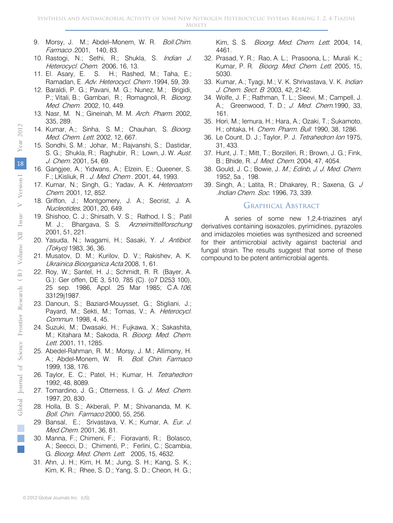- 9. Morsy, J. M.; Abdel–Monem, W. R. Boll. Chim. Farmaco .2001, 140, 83.
- 10. Rastogi, N.; Sethi, R.; Shukla, S. *Indian J.* Heterocycl. Chem. 2006, 16, 13.
- 11. El. Asary, E. S. H.; Rashed, M.; Taha, E.; Ramadan, E. Adv. Heterocycl. Chem .1994, 59, 39.
- 12. Baraldi, P. G.; Pavani, M. G.; Nunez, M.; Brigidi, P.; Vitali, B.; Gambari, R.; Romagnoli, R. Bioorg. Med. Chem. 2002, 10, 449.
- 13. Nasr, M. N.; Gineinah, M. M. Arch. Pharm. 2002, 335, 289.
- 14. Kumar, A.; Sinha, S. M.; Chauhan, S. Bioorg. Med. Chem. Lett. 2002, 12, 667.
- 15. Sondhi, S. M.; Johar, M.; Rajvanshi, S.; Dastidar, S. G.; Shukla, R.; Raghubir, R.; Lown, J. W. Aust. J. Chem. 2001, 54, 69.
- 16. Gangjee, A.; Yidwans, A.; Elzein, E.; Queener, S. F.; LKisliuk, R . J. Med. Chem . 2001, 44, 1993.
- 17. Kumar, N.; Singh, G.; Yadav, A. K. Heteroatom Chem. 2001, 12, 852.
- 18. Griffon, J.; Montgomery, J. A.; Secrist, J. A. Nucleotides, 2001, 20, 649.
- 19. Shishoo, C. J.; Shirsath, V. S.; Rathod, I. S.; Patil M. J.; Bhargava, S. S. Arzneimittellforschung 2001, 51, 221.
- 20. Yasuda, N.; Iwagami, H.; Sasaki, Y. J. Antibiot. (Tokyo) 1983, 36, 36.
- 21. Musatov, D. M.; Kurilov, D. V.; Rakishev, A. K. Ukrainica Bioorganica Acta 2008, 1, 61.
- 22. Roy, W.; Santel, H. J.; Schmidt, R. R. (Bayer, A. G.): Ger offen, DE 3, 510, 785 (C). (o7 D253 100), 25 sep. 1986, Appl. 25 Mar 1985; C.A.106, 33129j1987.
- 23. Danoun, S.; Baziard-Mouysset, G.; Stigliani, J.; Payard, M.; Sekti, M.; Tomas, V.; A. Heterocycl. Commun. 1998, 4, 45.
- 24. Suzuki, M.; Dwasaki, H.; Fujkawa, X.; Sakashita, M.; Kitahara M.; Sakoda, R. Bioorg. Med. Chem. Lett. 2001, 11, 1285.
- 25. Abedel-Rahman, R. M.; Morsy, J. M.; Allimony, H. A.; Abdel-Monem, W. R. Boll. Chin. Farmaco 1999, 138, 176.
- 26. Taylor, E. C.; Patel, H.; Kumar, H. Tetrahedron 1992, 48, 8089.
- 27. Tomardino, J. G.; Otterness, I. G. J. Med. Chem. 1997, 20, 830.
- 28. Holla, B. S.; Akberali, P. M.; Shivananda, M. K. Boll. Chin. Farmaco 2000, 55, 256.
- 29. Bansal, E.; Srivastava, V. K.; Kumar, A. Eur. J. Med.Chem. 2001, 36, 81.
- 30. Manna, F.; Chimeni, F.; Fioravanti, R.; Bolasco, A.; Seecci, D.; Chimenti, P.; Ferlini, C.; Scambia, G. Bioorg. Med. Chem. Lett. 2005, 15, 4632.
- 31. Ahn, J. H.; Kim, H. M.; Jung, S. H.; Kang, S. K.; Kim, K. R.; Rhee, S. D.; Yang, S. D.; Cheon, H. G.;

Kim, S. S. Bioorg. Med. Chem. Lett. 2004, 14, 4461.

- 32. Prasad, Y. R.; Rao, A. L.; Prasoona, L.; Murali K.; Kumar, P. R. Bioorg. Med. Chem. Lett. 2005, 15, 5030.
- 33. Kumar, A.; Tyagi, M.; V. K. Shrivastava, V. K. *Indian* J. Chem. Sect. B 2003, 42, 2142.
- 34. Wolfe, J. F.; Rathman, T. L.; Sleevi, M.; Campell, J. A.; Greenwood, T. D.; J. Med. Chem.1990, 33, 161.
- 35. Hori, M.; Iemura, H.; Hara, A.; Ozaki, T.; Sukamoto, H.; ohtaka, H. Chem. Pharm. Bull. 1990, 38, 1286.
- 36. Le Count, D. J.; Taylor, P. J. Tetrahedron Ion 1975, 31, 433.
- 37. Hunt, J. T.; Mitt, T.; Borzilleri, R.; Brown, J. G.; Fink, B.; Bhide, R. J. Med. Chem. 2004, 47, 4054.
- 38. Gould, J. C.; Bowie, J. M.; Edinb, J. J. Med. Chem. 1952, 5a , 198.
- 39. Singh, A.; Latita, R.; Dhakarey, R.; Saxena, G. J .Indian Chem. Soc. 1996, 73, 339.

#### Graphical Abstract

A series of some new 1,2,4-triazines aryl derivatives containing isoxazoles, pyrimidines, pyrazoles and imidazoles moieties was synthesized and screened for their antimicrobial activity against bacterial and fungal strain. The results suggest that some of these compound to be potent antimicrobial agents.

18

Year 2012